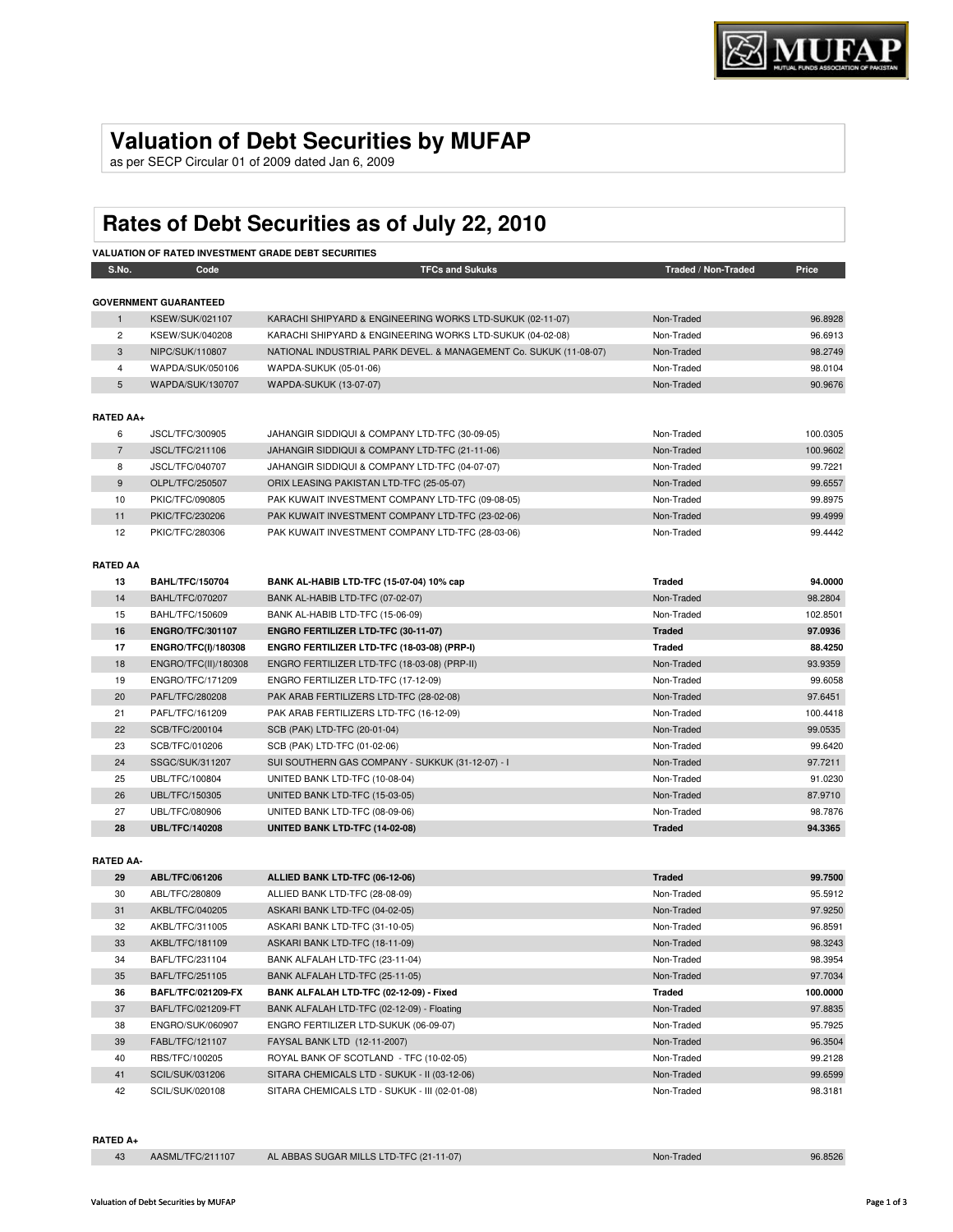# **Valuation of Debt Securities by MUFAP**

as per SECP Circular 01 of 2009 dated Jan 6, 2009

# **Rates of Debt Securities as of July 22, 2010**

| <b>VALUATION OF RATED INVESTMENT GRADE DEBT SECURITIES</b> |                              |                                                                   |                     |          |
|------------------------------------------------------------|------------------------------|-------------------------------------------------------------------|---------------------|----------|
| S.No.                                                      | Code                         | <b>TFCs and Sukuks</b>                                            | Traded / Non-Traded | Price    |
|                                                            |                              |                                                                   |                     |          |
|                                                            | <b>GOVERNMENT GUARANTEED</b> |                                                                   |                     |          |
| $\mathbf{1}$                                               | <b>KSEW/SUK/021107</b>       | KARACHI SHIPYARD & ENGINEERING WORKS LTD-SUKUK (02-11-07)         | Non-Traded          | 96.8928  |
| $\overline{2}$                                             | <b>KSEW/SUK/040208</b>       | KARACHI SHIPYARD & ENGINEERING WORKS LTD-SUKUK (04-02-08)         | Non-Traded          | 96.6913  |
| 3                                                          | NIPC/SUK/110807              | NATIONAL INDUSTRIAL PARK DEVEL. & MANAGEMENT Co. SUKUK (11-08-07) | Non-Traded          | 98.2749  |
| $\overline{4}$                                             | WAPDA/SUK/050106             | WAPDA-SUKUK (05-01-06)                                            | Non-Traded          | 98.0104  |
| 5                                                          | WAPDA/SUK/130707             | WAPDA-SUKUK (13-07-07)                                            | Non-Traded          | 90.9676  |
| <b>RATED AA+</b>                                           |                              |                                                                   |                     |          |
| 6                                                          | JSCL/TFC/300905              | JAHANGIR SIDDIQUI & COMPANY LTD-TFC (30-09-05)                    | Non-Traded          | 100.0305 |
| $\overline{7}$                                             | JSCL/TFC/211106              | JAHANGIR SIDDIQUI & COMPANY LTD-TFC (21-11-06)                    | Non-Traded          | 100.9602 |
| 8                                                          | JSCL/TFC/040707              | JAHANGIR SIDDIQUI & COMPANY LTD-TFC (04-07-07)                    | Non-Traded          | 99.7221  |
| 9                                                          | OLPL/TFC/250507              | ORIX LEASING PAKISTAN LTD-TFC (25-05-07)                          | Non-Traded          | 99.6557  |
| 10                                                         | PKIC/TFC/090805              | PAK KUWAIT INVESTMENT COMPANY LTD-TFC (09-08-05)                  | Non-Traded          | 99.8975  |
| 11                                                         | PKIC/TFC/230206              | PAK KUWAIT INVESTMENT COMPANY LTD-TFC (23-02-06)                  | Non-Traded          | 99.4999  |
| 12                                                         | PKIC/TFC/280306              | PAK KUWAIT INVESTMENT COMPANY LTD-TFC (28-03-06)                  | Non-Traded          | 99.4442  |
|                                                            |                              |                                                                   |                     |          |
| <b>RATED AA</b>                                            |                              |                                                                   |                     |          |
| 13                                                         | <b>BAHL/TFC/150704</b>       | BANK AL-HABIB LTD-TFC (15-07-04) 10% cap                          | <b>Traded</b>       | 94.0000  |
| 14                                                         | <b>BAHL/TFC/070207</b>       | BANK AL-HABIB LTD-TFC (07-02-07)                                  | Non-Traded          | 98.2804  |
| 15                                                         | BAHL/TFC/150609              | BANK AL-HABIB LTD-TFC (15-06-09)                                  | Non-Traded          | 102.8501 |
| 16                                                         | <b>ENGRO/TFC/301107</b>      | <b>ENGRO FERTILIZER LTD-TFC (30-11-07)</b>                        | <b>Traded</b>       | 97.0936  |
| 17                                                         | ENGRO/TFC(I)/180308          | ENGRO FERTILIZER LTD-TFC (18-03-08) (PRP-I)                       | <b>Traded</b>       | 88.4250  |
| 18                                                         | ENGRO/TFC(II)/180308         | ENGRO FERTILIZER LTD-TFC (18-03-08) (PRP-II)                      | Non-Traded          | 93.9359  |
| 19                                                         | ENGRO/TFC/171209             | ENGRO FERTILIZER LTD-TFC (17-12-09)                               | Non-Traded          | 99.6058  |
| 20                                                         | PAFL/TFC/280208              | PAK ARAB FERTILIZERS LTD-TFC (28-02-08)                           | Non-Traded          | 97.6451  |
| 21                                                         | PAFL/TFC/161209              | PAK ARAB FERTILIZERS LTD-TFC (16-12-09)                           | Non-Traded          | 100.4418 |
| 22                                                         | SCB/TFC/200104               | SCB (PAK) LTD-TFC (20-01-04)                                      | Non-Traded          | 99.0535  |
| 23                                                         | SCB/TFC/010206               | SCB (PAK) LTD-TFC (01-02-06)                                      | Non-Traded          | 99.6420  |
| 24                                                         | SSGC/SUK/311207              | SUI SOUTHERN GAS COMPANY - SUKKUK (31-12-07) - I                  | Non-Traded          | 97.7211  |
| 25                                                         | UBL/TFC/100804               | UNITED BANK LTD-TFC (10-08-04)                                    | Non-Traded          | 91.0230  |
| 26                                                         | UBL/TFC/150305               | UNITED BANK LTD-TFC (15-03-05)                                    | Non-Traded          | 87.9710  |
| 27                                                         | UBL/TFC/080906               | UNITED BANK LTD-TFC (08-09-06)                                    | Non-Traded          | 98.7876  |
| 28                                                         | <b>UBL/TFC/140208</b>        | UNITED BANK LTD-TFC (14-02-08)                                    | <b>Traded</b>       | 94.3365  |
| <b>RATED AA-</b>                                           |                              |                                                                   |                     |          |
| 29                                                         | ABL/TFC/061206               | ALLIED BANK LTD-TFC (06-12-06)                                    | <b>Traded</b>       | 99.7500  |
| 30                                                         | ABL/TFC/280809               | ALLIED BANK LTD-TFC (28-08-09)                                    | Non-Traded          | 95.5912  |
| 31                                                         | AKBL/TFC/040205              | ASKARI BANK LTD-TFC (04-02-05)                                    | Non-Traded          | 97.9250  |

| 30 | ABL/TFC/280809            | ALLIED BANK LTD-TFC (28-08-09)                | Non-Traded | 95.5912  |
|----|---------------------------|-----------------------------------------------|------------|----------|
| 31 | AKBL/TFC/040205           | ASKARI BANK LTD-TFC (04-02-05)                | Non-Traded | 97.9250  |
| 32 | AKBL/TFC/311005           | ASKARI BANK LTD-TFC (31-10-05)                | Non-Traded | 96.8591  |
| 33 | AKBL/TFC/181109           | ASKARI BANK LTD-TFC (18-11-09)                | Non-Traded | 98.3243  |
| 34 | BAFL/TFC/231104           | BANK ALFALAH LTD-TFC (23-11-04)               | Non-Traded | 98.3954  |
| 35 | BAFL/TFC/251105           | BANK ALFALAH LTD-TFC (25-11-05)               | Non-Traded | 97.7034  |
| 36 | <b>BAFL/TFC/021209-FX</b> | BANK ALFALAH LTD-TFC (02-12-09) - Fixed       | Traded     | 100.0000 |
| 37 | BAFL/TFC/021209-FT        | BANK ALFALAH LTD-TFC (02-12-09) - Floating    | Non-Traded | 97.8835  |
| 38 | ENGRO/SUK/060907          | ENGRO FERTILIZER LTD-SUKUK (06-09-07)         | Non-Traded | 95.7925  |
| 39 | FABL/TFC/121107           | FAYSAL BANK LTD (12-11-2007)                  | Non-Traded | 96.3504  |
| 40 | RBS/TFC/100205            | ROYAL BANK OF SCOTLAND - TFC (10-02-05)       | Non-Traded | 99.2128  |
| 41 | SCIL/SUK/031206           | SITARA CHEMICALS LTD - SUKUK - II (03-12-06)  | Non-Traded | 99.6599  |
| 42 | SCIL/SUK/020108           | SITARA CHEMICALS LTD - SUKUK - III (02-01-08) | Non-Traded | 98.3181  |

#### **RATED A+**

|  | AASML/TFC/211107 | AL ABBAS SUGAR MILLS LTD-TFC (21-11-07) | Non-Traded | 96.8526 |
|--|------------------|-----------------------------------------|------------|---------|
|--|------------------|-----------------------------------------|------------|---------|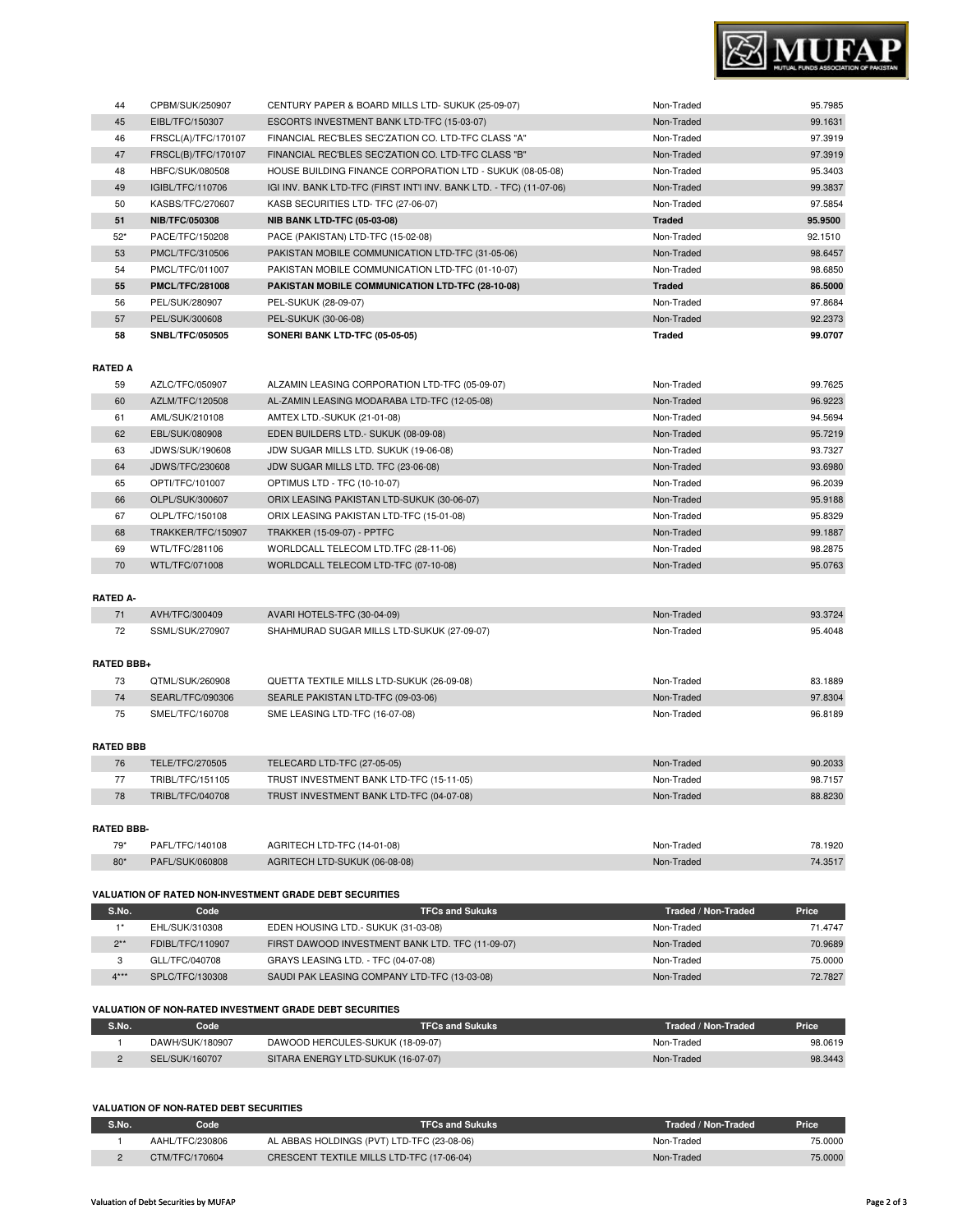## **VALUATION OF NON-RATED DEBT SECURITIES**

| S.No. | Code            | <b>TFCs and Sukuks</b>                     | Traded / Non-Traded | <b>Price</b> |
|-------|-----------------|--------------------------------------------|---------------------|--------------|
|       | AAHL/TFC/230806 | AL ABBAS HOLDINGS (PVT) LTD-TFC (23-08-06) | Non-Traded          | 75.0000      |
|       | CTM/TFC/170604  | CRESCENT TEXTILE MILLS LTD-TFC (17-06-04)  | Non-Traded          | 75,0000      |

#### 2\*\* FDIBL/TFC/110907 FIRST DAWOOD INVESTMENT BANK LTD. TFC (11-09-07) Non-Traded Non-Traded 70.9689 3 GLL/TFC/040708 GRAYS LEASING LTD. - TFC (04-07-08) CHARGED CONSIDERING MON-Traded 75.0000 4\*\*\* SPLC/TFC/130308 SAUDI PAK LEASING COMPANY LTD-TFC (13-03-08) Non-Traded Non-Traded 72.7827

| RATED BBB- |                 |                               |            |         |
|------------|-----------------|-------------------------------|------------|---------|
| $79*$      | PAFL/TFC/140108 | AGRITECH LTD-TFC (14-01-08)   | Non-Traded | 78.1920 |
| $80*$      | PAFL/SUK/060808 | AGRITECH LTD-SUKUK (06-08-08) | Non-Traded | 74.3517 |
|            |                 |                               |            |         |

**S.No. Code TFCs and Sukuks Traded / Non-Traded Price** 1\* EHL/SUK/310308 EDEN HOUSING LTD.- SUKUK (31-03-08) Non-Traded Non-Traded 71.4747

**S.No. Code TFCs and Sukuks Traded / Non-Traded Price** 1 DAWH/SUK/180907 DAWOOD HERCULES-SUKUK (18-09-07) Non-Traded Non-Traded 98.0619 2 SEL/SUK/160707 SITARA ENERGY LTD-SUKUK (16-07-07) Non-Traded Non-Traded 98.3443

## **VALUATION OF RATED NON-INVESTMENT GRADE DEBT SECURITIES**

**VALUATION OF NON-RATED INVESTMENT GRADE DEBT SECURITIES**

| 75                | SMEL/TFC/160708  | SME LEASING LTD-TFC (16-07-08)           | Non-Traded | 96.8189 |
|-------------------|------------------|------------------------------------------|------------|---------|
| <b>RATED BBB</b>  |                  |                                          |            |         |
| 76                | TELE/TFC/270505  | TELECARD LTD-TFC (27-05-05)              | Non-Traded | 90.2033 |
| 77                | TRIBL/TFC/151105 | TRUST INVESTMENT BANK LTD-TFC (15-11-05) | Non-Traded | 98.7157 |
| 78                | TRIBL/TFC/040708 | TRUST INVESTMENT BANK LTD-TFC (04-07-08) | Non-Traded | 88.8230 |
|                   |                  |                                          |            |         |
| <b>RATED BBB-</b> |                  |                                          |            |         |
| $79*$             | PAFL/TFC/140108  | AGRITECH LTD-TFC (14-01-08)              | Non-Traded | 78.1920 |

# **RATED BBB+** 73 QTML/SUK/260908 QUETTA TEXTILE MILLS LTD-SUKUK (26-09-08) Non-Traded Non-Traded 83.1889 74 SEARL/TFC/090306 SEARLE PAKISTAN LTD-TFC (09-03-06) Non-Traded Non-Traded 97.8304

| <b>RATED A-</b> |                 |                                            |            |         |
|-----------------|-----------------|--------------------------------------------|------------|---------|
|                 | AVH/TFC/300409  | AVARI HOTELS-TFC (30-04-09)                | Non-Traded | 93.3724 |
| 72              | SSML/SUK/270907 | SHAHMURAD SUGAR MILLS LTD-SUKUK (27-09-07) | Non-Traded | 95.4048 |

## **RATED A** 59 AZLC/TFC/050907 ALZAMIN LEASING CORPORATION LTD-TFC (05-09-07) Non-Traded Non-Traded 99.7625 60 AZLM/TFC/120508 AL-ZAMIN LEASING MODARABA LTD-TFC (12-05-08) Non-Traded Non-Traded 96.9223 61 AML/SUK/210108 AMTEX LTD.-SUKUK (21-01-08) Non-Traded Non-Traded 94.5694 62 EBL/SUK/080908 EDEN BUILDERS LTD.- SUKUK (08-09-08) Non-Traded 95.7219 63 JDWS/SUK/190608 JDW SUGAR MILLS LTD. SUKUK (19-06-08) Non-Traded Non-Traded 93.7327 64 JDWS/TFC/230608 JDW SUGAR MILLS LTD. TFC (23-06-08) Non-Traded Non-Traded 93.6980 65 OPTI/TFC/101007 OPTIMUS LTD - TFC (10-10-07) Non-Traded Non-Traded 96.2039 66 OLPL/SUK/300607 ORIX LEASING PAKISTAN LTD-SUKUK (30-06-07) Non-Traded 95.9188 67 OLPL/TFC/150108 ORIX LEASING PAKISTAN LTD-TFC (15-01-08) Non-Traded Non-Traded 95.8329 68 TRAKKER/TFC/150907 TRAKKER (15-09-07) - PPTFC Non-Traded Non-Traded 99.1887 69 WTL/TFC/281106 WORLDCALL TELECOM LTD.TFC (28-11-06) Non-Traded Non-Traded 98.2875 70 WTL/TFC/071008 WORLDCALL TELECOM LTD-TFC (07-10-08) Non-Traded 95.0763

П

| 44    | CPBM/SUK/250907        | CENTURY PAPER & BOARD MILLS LTD- SUKUK (25-09-07)                   | Non-Traded    | 95.7985 |
|-------|------------------------|---------------------------------------------------------------------|---------------|---------|
| 45    | EIBL/TFC/150307        | ESCORTS INVESTMENT BANK LTD-TFC (15-03-07)                          | Non-Traded    | 99.1631 |
| 46    | FRSCL(A)/TFC/170107    | FINANCIAL REC'BLES SEC'ZATION CO. LTD-TFC CLASS "A"                 | Non-Traded    | 97.3919 |
| 47    | FRSCL(B)/TFC/170107    | FINANCIAL REC'BLES SEC'ZATION CO. LTD-TFC CLASS "B"                 | Non-Traded    | 97.3919 |
| 48    | HBFC/SUK/080508        | HOUSE BUILDING FINANCE CORPORATION LTD - SUKUK (08-05-08)           | Non-Traded    | 95.3403 |
| 49    | IGIBL/TFC/110706       | IGI INV. BANK LTD-TFC (FIRST INT'I INV. BANK LTD. - TFC) (11-07-06) | Non-Traded    | 99.3837 |
| 50    | KASBS/TFC/270607       | KASB SECURITIES LTD- TFC (27-06-07)                                 | Non-Traded    | 97.5854 |
| 51    | <b>NIB/TFC/050308</b>  | <b>NIB BANK LTD-TFC (05-03-08)</b>                                  | <b>Traded</b> | 95.9500 |
| $52*$ | PACE/TFC/150208        | PACE (PAKISTAN) LTD-TFC (15-02-08)                                  | Non-Traded    | 92.1510 |
| 53    | PMCL/TFC/310506        | PAKISTAN MOBILE COMMUNICATION LTD-TFC (31-05-06)                    | Non-Traded    | 98.6457 |
| 54    | PMCL/TFC/011007        | PAKISTAN MOBILE COMMUNICATION LTD-TFC (01-10-07)                    | Non-Traded    | 98.6850 |
| 55    | <b>PMCL/TFC/281008</b> | PAKISTAN MOBILE COMMUNICATION LTD-TFC (28-10-08)                    | <b>Traded</b> | 86.5000 |
| 56    | PEL/SUK/280907         | PEL-SUKUK (28-09-07)                                                | Non-Traded    | 97.8684 |
| 57    | PEL/SUK/300608         | PEL-SUKUK (30-06-08)                                                | Non-Traded    | 92.2373 |
| 58    | <b>SNBL/TFC/050505</b> | SONERI BANK LTD-TFC (05-05-05)                                      | <b>Traded</b> | 99.0707 |